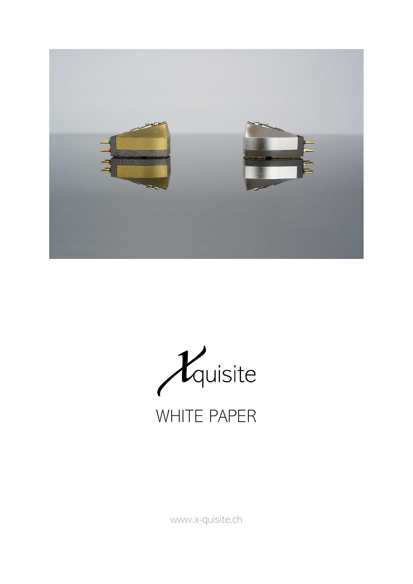



[www.x-quisite.ch](http://www.x-quisite.ch/)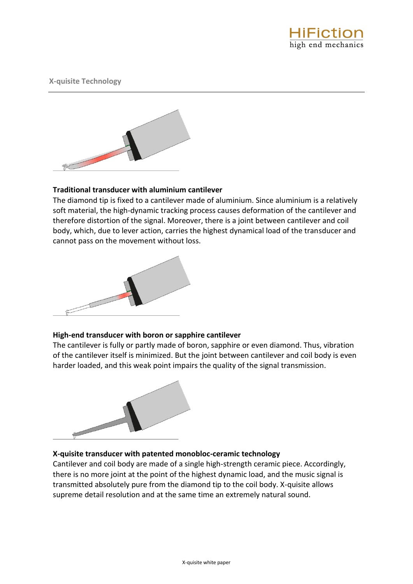

**X-quisite Technology**



# **Traditional transducer with aluminium cantilever**

The diamond tip is fixed to a cantilever made of aluminium. Since aluminium is a relatively soft material, the high-dynamic tracking process causes deformation of the cantilever and therefore distortion of the signal. Moreover, there is a joint between cantilever and coil body, which, due to lever action, carries the highest dynamical load of the transducer and cannot pass on the movement without loss.



# **High-end transducer with boron or sapphire cantilever**

The cantilever is fully or partly made of boron, sapphire or even diamond. Thus, vibration of the cantilever itself is minimized. But the joint between cantilever and coil body is even harder loaded, and this weak point impairs the quality of the signal transmission.



# **X-quisite transducer with patented monobloc-ceramic technology**

Cantilever and coil body are made of a single high-strength ceramic piece. Accordingly, there is no more joint at the point of the highest dynamic load, and the music signal is transmitted absolutely pure from the diamond tip to the coil body. X-quisite allows supreme detail resolution and at the same time an extremely natural sound.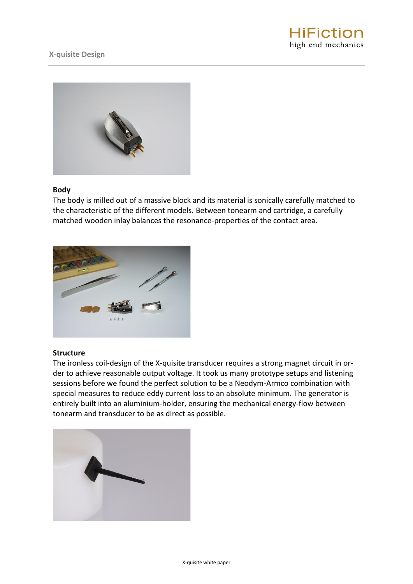



# **Body**

The body is milled out of a massive block and its material is sonically carefully matched to the characteristic of the different models. Between tonearm and cartridge, a carefully matched wooden inlay balances the resonance-properties of the contact area.



# **Structure**

The ironless coil-design of the X-quisite transducer requires a strong magnet circuit in order to achieve reasonable output voltage. It took us many prototype setups and listening sessions before we found the perfect solution to be a Neodym-Armco combination with special measures to reduce eddy current loss to an absolute minimum. The generator is entirely built into an aluminium-holder, ensuring the mechanical energy-flow between tonearm and transducer to be as direct as possible.